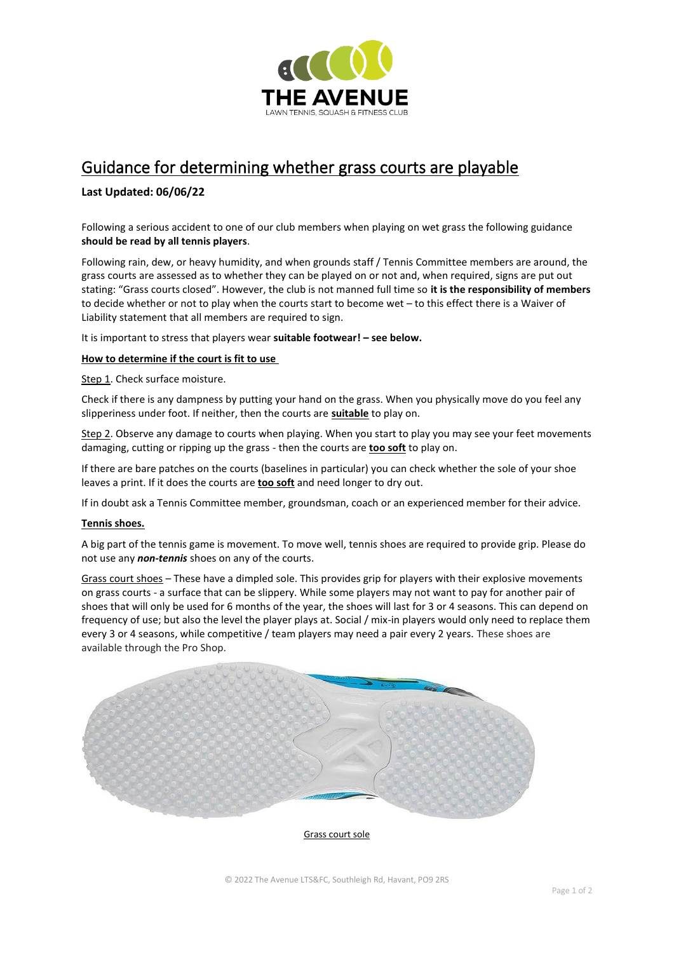

# Guidance for determining whether grass courts are playable

## **Last Updated: 06/06/22**

Following a serious accident to one of our club members when playing on wet grass the following guidance **should be read by all tennis players**.

Following rain, dew, or heavy humidity, and when grounds staff / Tennis Committee members are around, the grass courts are assessed as to whether they can be played on or not and, when required, signs are put out stating: "Grass courts closed". However, the club is not manned full time so **it is the responsibility of members**  to decide whether or not to play when the courts start to become wet – to this effect there is a Waiver of Liability statement that all members are required to sign.

It is important to stress that players wear **suitable footwear! – see below.**

#### **How to determine if the court is fit to use**

Step 1. Check surface moisture.

Check if there is any dampness by putting your hand on the grass. When you physically move do you feel any slipperiness under foot. If neither, then the courts are **suitable** to play on.

Step 2. Observe any damage to courts when playing. When you start to play you may see your feet movements damaging, cutting or ripping up the grass - then the courts are **too soft** to play on.

If there are bare patches on the courts (baselines in particular) you can check whether the sole of your shoe leaves a print. If it does the courts are **too soft** and need longer to dry out.

If in doubt ask a Tennis Committee member, groundsman, coach or an experienced member for their advice.

### **Tennis shoes.**

A big part of the tennis game is movement. To move well, tennis shoes are required to provide grip. Please do not use any *non-tennis* shoes on any of the courts.

Grass court shoes – These have a dimpled sole. This provides grip for players with their explosive movements on grass courts - a surface that can be slippery. While some players may not want to pay for another pair of shoes that will only be used for 6 months of the year, the shoes will last for 3 or 4 seasons. This can depend on frequency of use; but also the level the player plays at. Social / mix-in players would only need to replace them every 3 or 4 seasons, while competitive / team players may need a pair every 2 years. These shoes are available through the Pro Shop.



Grass court sole